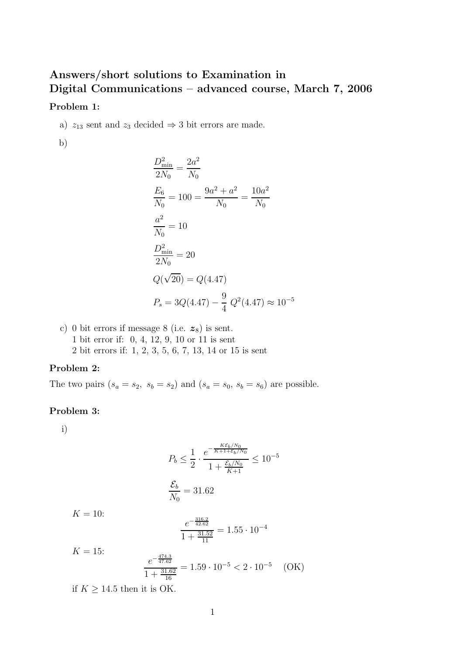## **Answers/short solutions to Examination in Digital Communications – advanced course, March 7, 2006 Problem 1:**

a)  $z_{13}$  sent and  $z_3$  decided  $\Rightarrow$  3 bit errors are made.

b)

$$
\frac{D_{\min}^2}{2N_0} = \frac{2a^2}{N_0}
$$
  
\n
$$
\frac{E_6}{N_0} = 100 = \frac{9a^2 + a^2}{N_0} = \frac{10a^2}{N_0}
$$
  
\n
$$
\frac{a^2}{N_0} = 10
$$
  
\n
$$
\frac{D_{\min}^2}{2N_0} = 20
$$
  
\n
$$
Q(\sqrt{20}) = Q(4.47)
$$
  
\n
$$
P_s = 3Q(4.47) - \frac{9}{4} Q^2(4.47) \approx 10^{-5}
$$

c) 0 bit errors if message  $8$  (i.e.  $z_8$ ) is sent. 1 bit error if: 0, 4, 12, 9, 10 or 11 is sent 2 bit errors if: 1, 2, 3, 5, 6, 7, 13, 14 or 15 is sent

## **Problem 2:**

The two pairs  $(s_a = s_2, s_b = s_2)$  and  $(s_a = s_0, s_b = s_6)$  are possible.

## **Problem 3:**

i)

$$
P_b \le \frac{1}{2} \cdot \frac{e^{-\frac{K\mathcal{E}_b/N_0}{K+1+\mathcal{E}_b/N_0}}}{1+\frac{\mathcal{E}_b/N_0}{K+1}} \le 10^{-5}
$$
  

$$
\frac{\mathcal{E}_b}{N_0} = 31.62
$$

 $K = 10$ :

$$
\frac{e^{-\frac{316.2}{42.62}}}{1+\frac{31.52}{11}} = 1.55 \cdot 10^{-4}
$$

 $K = 15$ :

$$
\frac{e^{-\frac{474.3}{47.62}}}{1+\frac{31.62}{16}} = 1.59 \cdot 10^{-5} < 2 \cdot 10^{-5} \quad \text{(OK)}
$$

if  $K \geq 14.5$  then it is OK.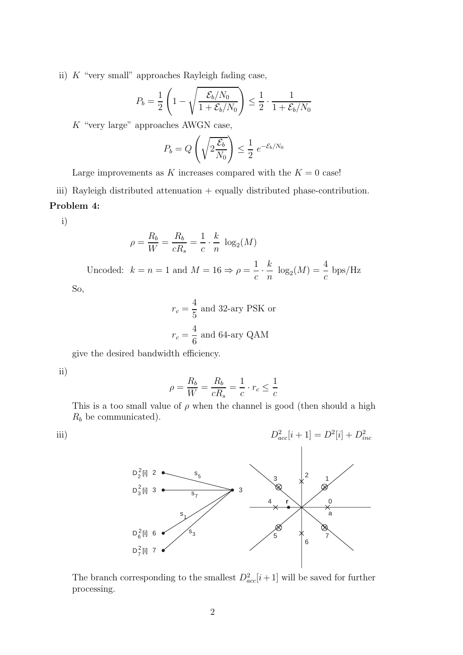ii)  $K$  "very small" approaches Rayleigh fading case,

$$
P_b = \frac{1}{2} \left( 1 - \sqrt{\frac{\mathcal{E}_b/N_0}{1 + \mathcal{E}_b/N_0}} \right) \le \frac{1}{2} \cdot \frac{1}{1 + \mathcal{E}_b/N_0}
$$

K "very large" approaches AWGN case,

$$
P_b = Q\left(\sqrt{2\frac{\mathcal{E}_b}{N_0}}\right) \le \frac{1}{2} e^{-\mathcal{E}_b/N_0}
$$

Large improvements as K increases compared with the  $K = 0$  case!

iii) Rayleigh distributed attenuation + equally distributed phase-contribution. **Problem 4:**

i)

$$
\rho = \frac{R_b}{W} = \frac{R_b}{cR_s} = \frac{1}{c} \cdot \frac{k}{n} \log_2(M)
$$

Uncoded:  $k = n = 1$  and  $M = 16 \Rightarrow \rho = \frac{1}{c}$ . k  $\frac{k}{n} \log_2(M) = \frac{4}{c} \text{ bps/Hz}$ 

So,

$$
r_c = \frac{4}{5}
$$
 and 32-ary PSK or  

$$
r_c = \frac{4}{6}
$$
 and 64-ary QAM

give the desired bandwidth efficiency.

ii)

$$
\rho = \frac{R_b}{W} = \frac{R_b}{cR_s} = \frac{1}{c} \cdot r_c \le \frac{1}{c}
$$

This is a too small value of  $\rho$  when the channel is good (then should a high  $R_b$  be communicated).

iii)  
\n
$$
D_{acc}[i + 1] = D^{2}[i] + D_{inc}^{2}
$$
\n
$$
D_{2}^{2}[i] \quad 3 \quad S_{7}
$$
\n
$$
D_{6}^{2}[i] \quad 6 \quad S_{3}
$$
\n
$$
D_{7}^{2}[i] \quad 7 \quad S_{3}
$$
\n
$$
D_{8}^{2}[i] \quad 6 \quad S_{3}
$$
\n
$$
D_{9}^{2}[i] \quad 7 \quad S_{3}
$$
\n
$$
D_{1}^{2}[i] \quad 7 \quad S_{3}
$$

The branch corresponding to the smallest  $D_{acc}^2[i+1]$  will be saved for further processing.